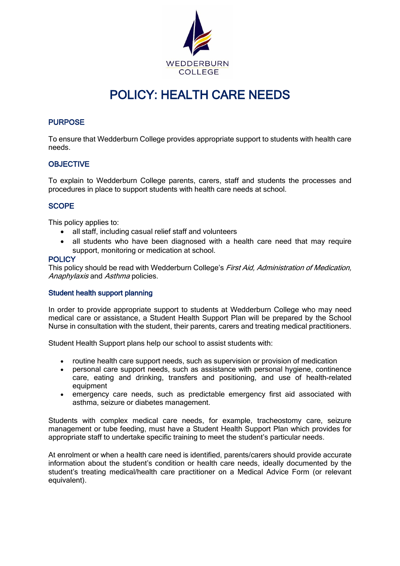

# POLICY: HEALTH CARE NEEDS

# PURPOSE

To ensure that Wedderburn College provides appropriate support to students with health care needs.

# **OBJECTIVE**

To explain to Wedderburn College parents, carers, staff and students the processes and procedures in place to support students with health care needs at school.

# **SCOPE**

This policy applies to:

- all staff, including casual relief staff and volunteers
- all students who have been diagnosed with a health care need that may require support, monitoring or medication at school.

#### **POLICY**

This policy should be read with Wedderburn College's *First Aid, Administration of Medication*, Anaphylaxis and Asthma policies.

# Student health support planning

In order to provide appropriate support to students at Wedderburn College who may need medical care or assistance, a Student Health Support Plan will be prepared by the School Nurse in consultation with the student, their parents, carers and treating medical practitioners.

Student Health Support plans help our school to assist students with:

- routine health care support needs, such as supervision or provision of medication
- personal care support needs, such as assistance with personal hygiene, continence care, eating and drinking, transfers and positioning, and use of health-related equipment
- emergency care needs, such as predictable emergency first aid associated with asthma, seizure or diabetes management.

Students with complex medical care needs, for example, tracheostomy care, seizure management or tube feeding, must have a Student Health Support Plan which provides for appropriate staff to undertake specific training to meet the student's particular needs.

At enrolment or when a health care need is identified, parents/carers should provide accurate information about the student's condition or health care needs, ideally documented by the student's treating medical/health care practitioner on a Medical Advice Form (or relevant equivalent).